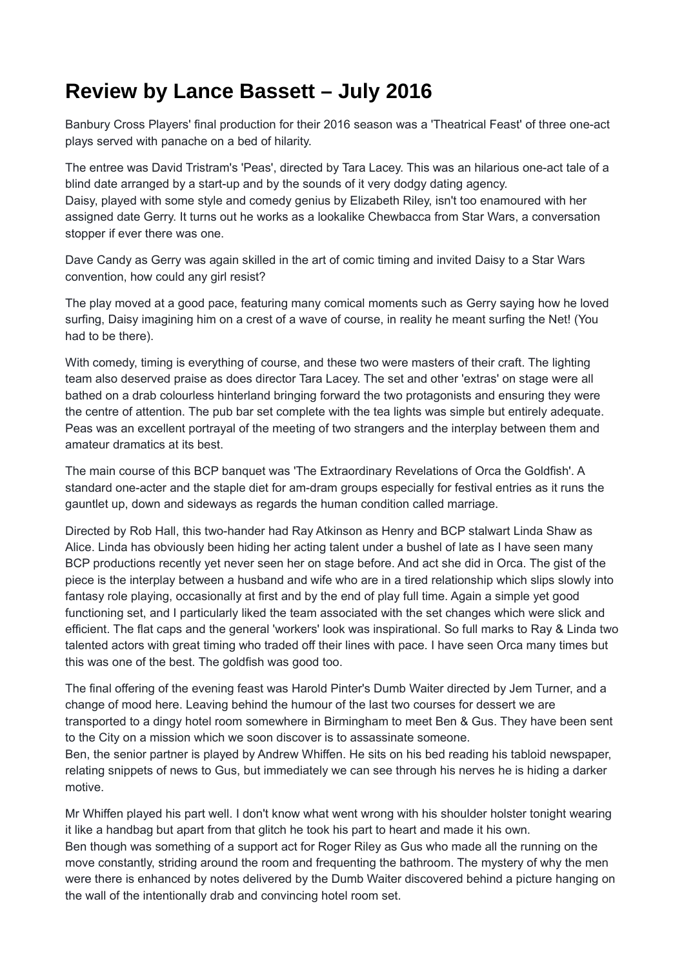## **Review by Lance Bassett – July 2016**

Banbury Cross Players' final production for their 2016 season was a 'Theatrical Feast' of three one-act plays served with panache on a bed of hilarity.

The entree was David Tristram's 'Peas', directed by Tara Lacey. This was an hilarious one-act tale of a blind date arranged by a start-up and by the sounds of it very dodgy dating agency. Daisy, played with some style and comedy genius by Elizabeth Riley, isn't too enamoured with her assigned date Gerry. It turns out he works as a lookalike Chewbacca from Star Wars, a conversation stopper if ever there was one.

Dave Candy as Gerry was again skilled in the art of comic timing and invited Daisy to a Star Wars convention, how could any girl resist?

The play moved at a good pace, featuring many comical moments such as Gerry saying how he loved surfing, Daisy imagining him on a crest of a wave of course, in reality he meant surfing the Net! (You had to be there).

With comedy, timing is everything of course, and these two were masters of their craft. The lighting team also deserved praise as does director Tara Lacey. The set and other 'extras' on stage were all bathed on a drab colourless hinterland bringing forward the two protagonists and ensuring they were the centre of attention. The pub bar set complete with the tea lights was simple but entirely adequate. Peas was an excellent portrayal of the meeting of two strangers and the interplay between them and amateur dramatics at its best.

The main course of this BCP banquet was 'The Extraordinary Revelations of Orca the Goldfish'. A standard one-acter and the staple diet for am-dram groups especially for festival entries as it runs the gauntlet up, down and sideways as regards the human condition called marriage.

Directed by Rob Hall, this two-hander had Ray Atkinson as Henry and BCP stalwart Linda Shaw as Alice. Linda has obviously been hiding her acting talent under a bushel of late as I have seen many BCP productions recently yet never seen her on stage before. And act she did in Orca. The gist of the piece is the interplay between a husband and wife who are in a tired relationship which slips slowly into fantasy role playing, occasionally at first and by the end of play full time. Again a simple yet good functioning set, and I particularly liked the team associated with the set changes which were slick and efficient. The flat caps and the general 'workers' look was inspirational. So full marks to Ray & Linda two talented actors with great timing who traded off their lines with pace. I have seen Orca many times but this was one of the best. The goldfish was good too.

The final offering of the evening feast was Harold Pinter's Dumb Waiter directed by Jem Turner, and a change of mood here. Leaving behind the humour of the last two courses for dessert we are transported to a dingy hotel room somewhere in Birmingham to meet Ben & Gus. They have been sent to the City on a mission which we soon discover is to assassinate someone.

Ben, the senior partner is played by Andrew Whiffen. He sits on his bed reading his tabloid newspaper, relating snippets of news to Gus, but immediately we can see through his nerves he is hiding a darker motive.

Mr Whiffen played his part well. I don't know what went wrong with his shoulder holster tonight wearing it like a handbag but apart from that glitch he took his part to heart and made it his own. Ben though was something of a support act for Roger Riley as Gus who made all the running on the move constantly, striding around the room and frequenting the bathroom. The mystery of why the men were there is enhanced by notes delivered by the Dumb Waiter discovered behind a picture hanging on the wall of the intentionally drab and convincing hotel room set.